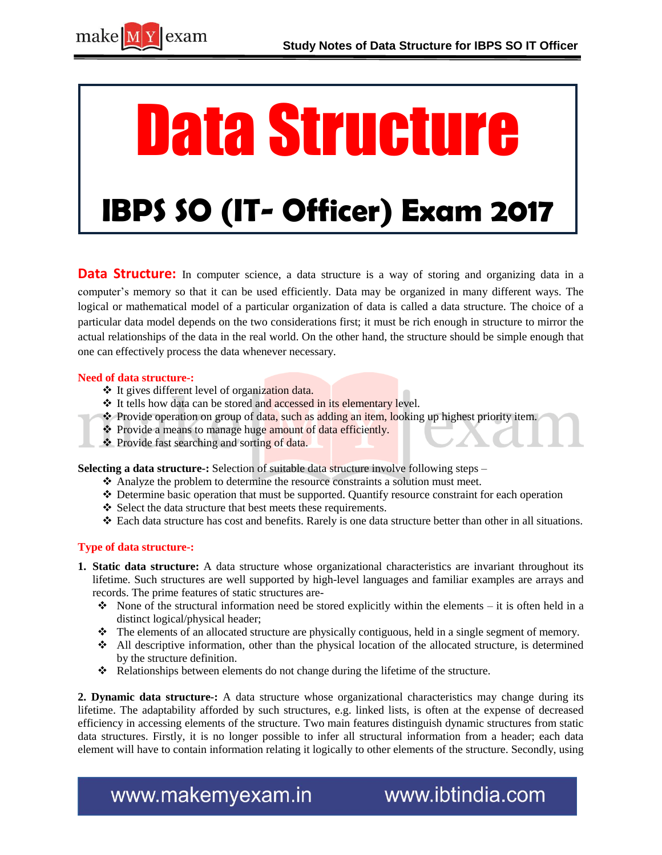

# Data Structure

## **IBPS SO (IT- Officer) Exam 2017**

**Data Structure:** In computer science, a data structure is a way of storing and organizing data in a computer's memory so that it can be used efficiently. Data may be organized in many different ways. The logical or mathematical model of a particular organization of data is called a data structure. The choice of a particular data model depends on the two considerations first; it must be rich enough in structure to mirror the actual relationships of the data in the real world. On the other hand, the structure should be simple enough that one can effectively process the data whenever necessary.

#### **Need of data structure-:**

- It gives different level of organization data.
- **↓** It tells how data can be stored and accessed in its elementary level.
- $\bullet$  Provide operation on group of data, such as adding an item, looking up highest priority item.
- Provide a means to manage huge amount of data efficiently.
- ❖ Provide fast searching and sorting of data.

**Selecting a data structure-:** Selection of suitable data structure involve following steps –

- Analyze the problem to determine the resource constraints a solution must meet.
- Determine basic operation that must be supported. Quantify resource constraint for each operation
- $\triangle$  Select the data structure that best meets these requirements.
- Each data structure has cost and benefits. Rarely is one data structure better than other in all situations.

#### **Type of data structure-:**

- **1. Static data structure:** A data structure whose organizational characteristics are invariant throughout its lifetime. Such structures are well supported by high-level languages and familiar examples are arrays and records. The prime features of static structures are-
	- $\bullet\bullet\quad$  None of the structural information need be stored explicitly within the elements it is often held in a distinct logical/physical header;
	- $\bullet$  The elements of an allocated structure are physically contiguous, held in a single segment of memory.
	- All descriptive information, other than the physical location of the allocated structure, is determined by the structure definition.
	- \* Relationships between elements do not change during the lifetime of the structure.

**2. Dynamic data structure-:** A data structure whose organizational characteristics may change during its lifetime. The adaptability afforded by such structures, e.g. linked lists, is often at the expense of decreased efficiency in accessing elements of the structure. Two main features distinguish dynamic structures from static data structures. Firstly, it is no longer possible to infer all structural information from a header; each data element will have to contain information relating it logically to other elements of the structure. Secondly, using

www.makemyexam.in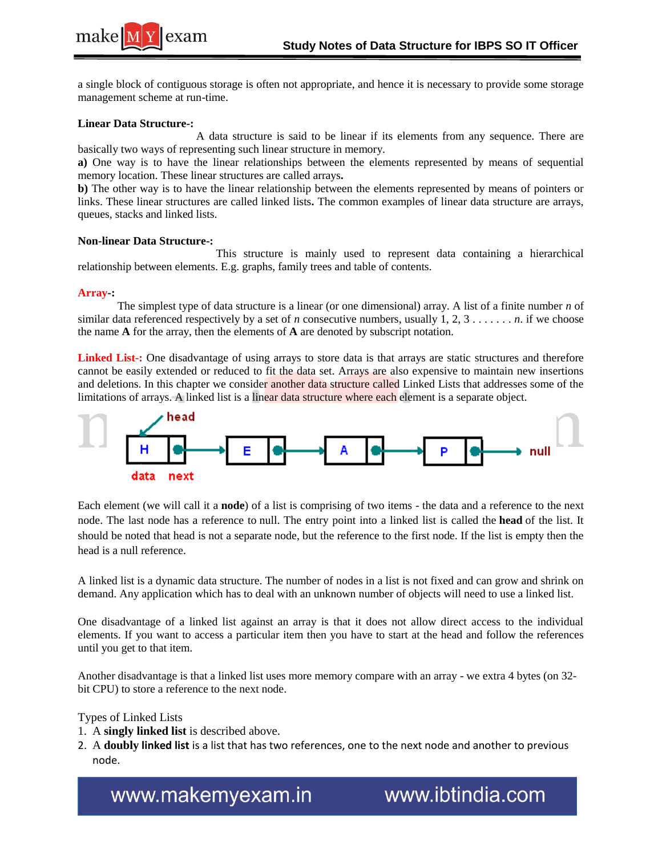

a single block of contiguous storage is often not appropriate, and hence it is necessary to provide some storage management scheme at run-time.

#### **Linear Data Structure-:**

 A data structure is said to be linear if its elements from any sequence. There are basically two ways of representing such linear structure in memory.

**a)** One way is to have the linear relationships between the elements represented by means of sequential memory location. These linear structures are called arrays**.**

**b)** The other way is to have the linear relationship between the elements represented by means of pointers or links. These linear structures are called linked lists**.** The common examples of linear data structure are arrays, queues, stacks and linked lists.

#### **Non-linear Data Structure-:**

 This structure is mainly used to represent data containing a hierarchical relationship between elements. E.g. graphs, family trees and table of contents.

#### **Array-:**

 The simplest type of data structure is a linear (or one dimensional) array. A list of a finite number *n* of similar data referenced respectively by a set of *n* consecutive numbers, usually  $1, 2, 3, \ldots, n$ . if we choose the name **A** for the array, then the elements of **A** are denoted by subscript notation.

Linked List-: One disadvantage of using arrays to store data is that arrays are static structures and therefore cannot be easily extended or reduced to fit the data set. Arrays are also expensive to maintain new insertions and deletions. In this chapter we consider another data structure called Linked Lists that addresses some of the limitations of arrays. A linked list is a linear data structure where each element is a separate object.



Each element (we will call it a **node**) of a list is comprising of two items - the data and a reference to the next node. The last node has a reference to null. The entry point into a linked list is called the **head** of the list. It should be noted that head is not a separate node, but the reference to the first node. If the list is empty then the head is a null reference.

A linked list is a dynamic data structure. The number of nodes in a list is not fixed and can grow and shrink on demand. Any application which has to deal with an unknown number of objects will need to use a linked list.

One disadvantage of a linked list against an array is that it does not allow direct access to the individual elements. If you want to access a particular item then you have to start at the head and follow the references until you get to that item.

Another disadvantage is that a linked list uses more memory compare with an array - we extra 4 bytes (on 32 bit CPU) to store a reference to the next node.

#### Types of Linked Lists

- 1. A **singly linked list** is described above.
- 2. A **doubly linked list** is a list that has two references, one to the next node and another to previous node.

www.makemyexam.in

www.ibtindia.com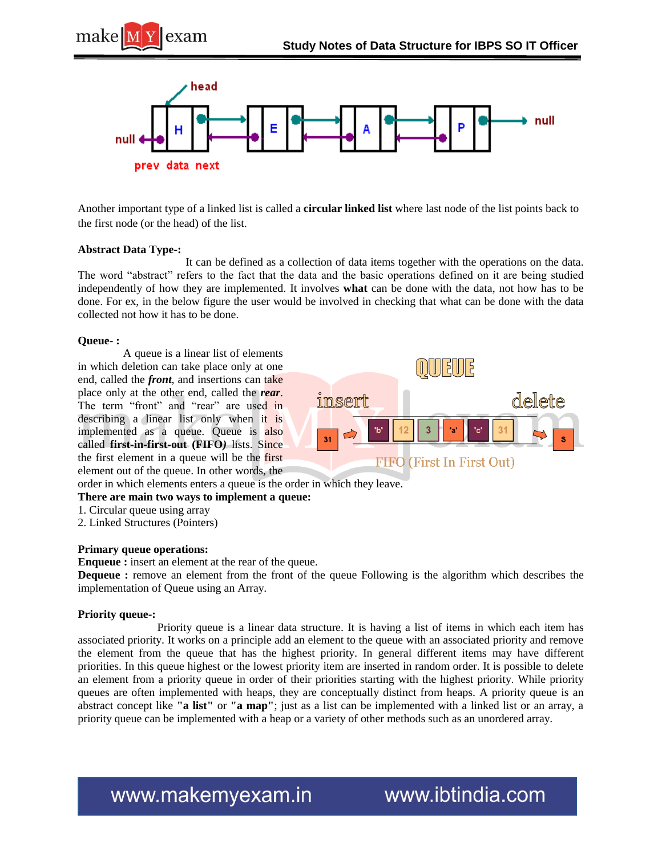



Another important type of a linked list is called a **circular linked list** where last node of the list points back to the first node (or the head) of the list.

#### **Abstract Data Type-:**

 It can be defined as a collection of data items together with the operations on the data. The word "abstract" refers to the fact that the data and the basic operations defined on it are being studied independently of how they are implemented. It involves **what** can be done with the data, not how has to be done. For ex, in the below figure the user would be involved in checking that what can be done with the data collected not how it has to be done.

#### **Queue- :**

 A queue is a linear list of elements in which deletion can take place only at one end, called the *front*, and insertions can take place only at the other end, called the *rear*. The term "front" and "rear" are used in describing a linear list only when it is implemented as a queue. Queue is also called **first-in-first-out (FIFO***)* lists. Since the first element in a queue will be the first element out of the queue. In other words, the



order in which elements enters a queue is the order in which they leave.

- **There are main two ways to implement a queue:**
- 1. Circular queue using array
- 2. Linked Structures (Pointers)

#### **Primary queue operations:**

**Enqueue :** insert an element at the rear of the queue.

**Dequeue :** remove an element from the front of the queue Following is the algorithm which describes the implementation of Queue using an Array.

#### **Priority queue-:**

 Priority queue is a linear data structure. It is having a list of items in which each item has associated priority. It works on a principle add an element to the queue with an associated priority and remove the element from the queue that has the highest priority. In general different items may have different priorities. In this queue highest or the lowest priority item are inserted in random order. It is possible to delete an element from a priority queue in order of their priorities starting with the highest priority. While priority queues are often implemented with heaps, they are conceptually distinct from heaps. A priority queue is an abstract concept like **"a list"** or **"a map"**; just as a list can be implemented with a linked list or an array, a priority queue can be implemented with a heap or a variety of other methods such as an unordered array.

www.makemyexam.in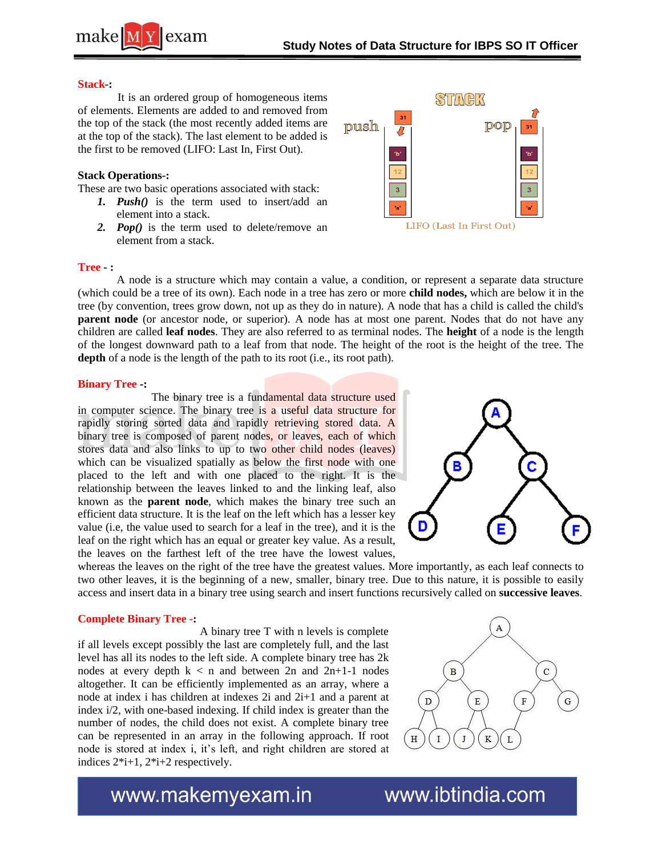

#### **Stack-:**

 It is an ordered group of homogeneous items of elements. Elements are added to and removed from the top of the stack (the most recently added items are at the top of the stack). The last element to be added is the first to be removed (LIFO: Last In, First Out).

#### **Stack Operations-:**

These are two basic operations associated with stack:

- *1. Push()* is the term used to insert/add an element into a stack.
- *2. Pop()* is the term used to delete/remove an element from a stack.



#### **Tree - :**

A node is a structure which may contain a value, a condition, or represent a separate data structure (which could be a tree of its own). Each node in a tree has zero or more **child nodes,** which are below it in the tree (by convention, trees grow down, not up as they do in nature). A node that has a child is called the child's **parent node** (or ancestor node, or superior). A node has at most one parent. Nodes that do not have any children are called **leaf nodes**. They are also referred to as terminal nodes. The **height** of a node is the length of the longest downward path to a leaf from that node. The height of the root is the height of the tree. The depth of a node is the length of the path to its root (i.e., its root path).

#### **Binary Tree -:**

 The binary tree is a fundamental data structure used in computer science. The binary tree is a useful data structure for rapidly storing sorted data and rapidly retrieving stored data. A binary tree is composed of parent nodes, or leaves, each of which stores data and also links to up to two other child nodes (leaves) which can be visualized spatially as below the first node with one placed to the left and with one placed to the right. It is the relationship between the leaves linked to and the linking leaf, also known as the **parent node**, which makes the binary tree such an efficient data structure. It is the leaf on the left which has a lesser key value (i.e, the value used to search for a leaf in the tree), and it is the leaf on the right which has an equal or greater key value. As a result, the leaves on the farthest left of the tree have the lowest values,



whereas the leaves on the right of the tree have the greatest values. More importantly, as each leaf connects to two other leaves, it is the beginning of a new, smaller, binary tree. Due to this nature, it is possible to easily access and insert data in a binary tree using search and insert functions recursively called on **successive leaves**.

#### **Complete Binary Tree -:**

 A binary tree T with n levels is complete if all levels except possibly the last are completely full, and the last level has all its nodes to the left side. A complete binary tree has 2k nodes at every depth  $k < n$  and between 2n and 2n+1-1 nodes altogether. It can be efficiently implemented as an array, where a node at index i has children at indexes 2i and 2i+1 and a parent at index i/2, with one-based indexing. If child index is greater than the number of nodes, the child does not exist. A complete binary tree can be represented in an array in the following approach. If root node is stored at index i, it's left, and right children are stored at indices 2\*i+1, 2\*i+2 respectively.



www.makemyexam.in

www.ibtindia.com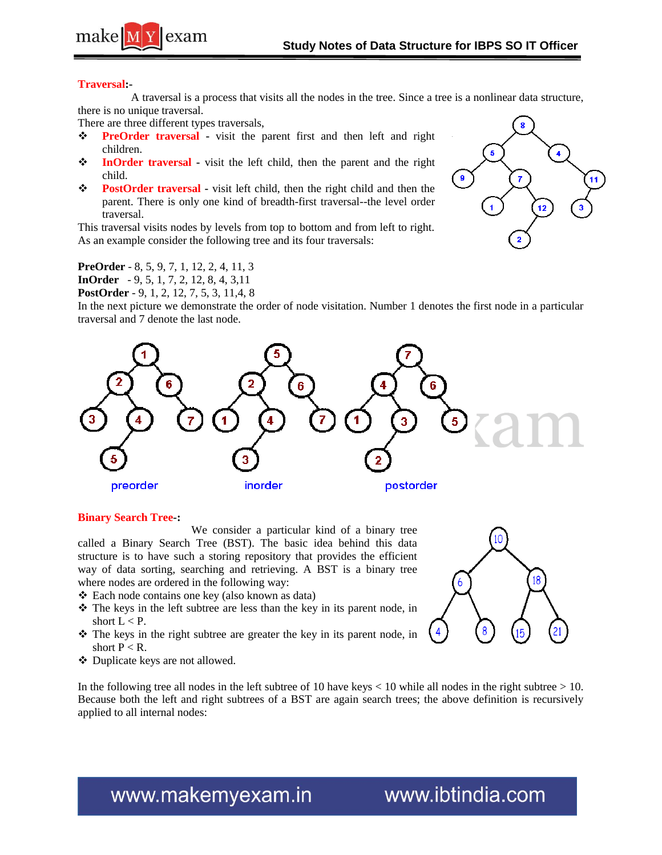



#### **Traversal:-**

 A traversal is a process that visits all the nodes in the tree. Since a tree is a nonlinear data structure, there is no unique traversal.

There are three different types traversals,

- **PreOrder traversal** visit the parent first and then left and right children.
- **InOrder traversal** visit the left child, then the parent and the right child.
- **PostOrder traversal** visit left child, then the right child and then the parent. There is only one kind of breadth-first traversal--the level order traversal.

This traversal visits nodes by levels from top to bottom and from left to right. As an example consider the following tree and its four traversals:

**PreOrder** - 8, 5, 9, 7, 1, 12, 2, 4, 11, 3 **InOrder** - 9, 5, 1, 7, 2, 12, 8, 4, 3,11

**PostOrder** - 9, 1, 2, 12, 7, 5, 3, 11,4, 8

In the next picture we demonstrate the order of node visitation. Number 1 denotes the first node in a particular traversal and 7 denote the last node.



#### **Binary Search Tree-:**

 We consider a particular kind of a binary tree called a Binary Search Tree (BST). The basic idea behind this data structure is to have such a storing repository that provides the efficient way of data sorting, searching and retrieving. A BST is a binary tree where nodes are ordered in the following way:

- Each node contains one key (also known as data)
- $\hat{\mathbf{v}}$  The keys in the left subtree are less than the key in its parent node, in short  $L < P$ .
- The keys in the right subtree are greater the key in its parent node, in short  $P < R$ .
- Duplicate keys are not allowed.

In the following tree all nodes in the left subtree of 10 have keys  $<$  10 while all nodes in the right subtree  $>$  10. Because both the left and right subtrees of a BST are again search trees; the above definition is recursively applied to all internal nodes:



### www.makemyexam.in

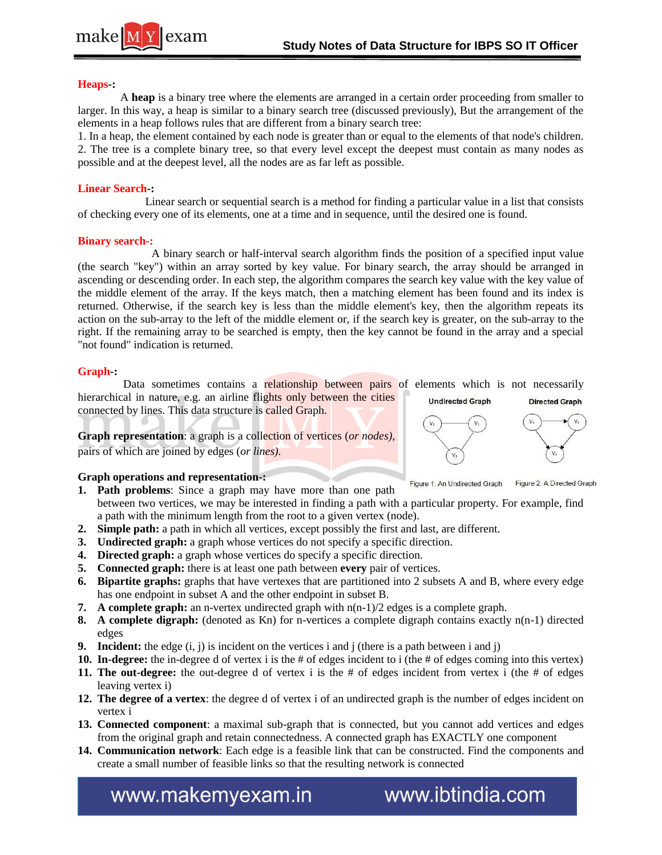

#### **Heaps-:**

 A **heap** is a binary tree where the elements are arranged in a certain order proceeding from smaller to larger. In this way, a heap is similar to a binary search tree (discussed previously), But the arrangement of the elements in a heap follows rules that are different from a binary search tree:

1. In a heap, the element contained by each node is greater than or equal to the elements of that node's children. 2. The tree is a complete binary tree, so that every level except the deepest must contain as many nodes as possible and at the deepest level, all the nodes are as far left as possible.

#### **Linear Search-:**

 Linear search or sequential search is a method for finding a particular value in a list that consists of checking every one of its elements, one at a time and in sequence, until the desired one is found.

#### **Binary search-:**

 A binary search or half-interval search algorithm finds the position of a specified input value (the search "key") within an array sorted by key value. For binary search, the array should be arranged in ascending or descending order. In each step, the algorithm compares the search key value with the key value of the middle element of the array. If the keys match, then a matching element has been found and its index is returned. Otherwise, if the search key is less than the middle element's key, then the algorithm repeats its action on the sub-array to the left of the middle element or, if the search key is greater, on the sub-array to the right. If the remaining array to be searched is empty, then the key cannot be found in the array and a special "not found" indication is returned.

#### **Graph-:**

Data sometimes contains a **relationship between pairs** of elements which is not necessarily hierarchical in nature, e.g. an airline flights only between the cities **Undirected Graph Directed Graph** connected by lines. This data structure is called Graph.

**Graph representation**: a graph is a collection of vertices (*or nodes)*, pairs of which are joined by edges (*or lines).*

#### **Graph operations and representation-:**

- **1. Path problems**: Since a graph may have more than one path between two vertices, we may be interested in finding a path with a particular property. For example, find
- a path with the minimum length from the root to a given vertex (node).
- **2. Simple path:** a path in which all vertices, except possibly the first and last, are different.
- **3. Undirected graph:** a graph whose vertices do not specify a specific direction.
- **4. Directed graph:** a graph whose vertices do specify a specific direction.
- **5. Connected graph:** there is at least one path between **every** pair of vertices.
- **6. Bipartite graphs:** graphs that have vertexes that are partitioned into 2 subsets A and B, where every edge has one endpoint in subset A and the other endpoint in subset B.
- **7. A complete graph:** an n-vertex undirected graph with n(n-1)/2 edges is a complete graph.
- **8. A complete digraph:** (denoted as Kn) for n-vertices a complete digraph contains exactly n(n-1) directed edges
- **9. Incident:** the edge  $(i, j)$  is incident on the vertices i and j (there is a path between i and j)
- **10. In-degree:** the in-degree d of vertex i is the # of edges incident to i (the # of edges coming into this vertex)
- **11. The out-degree:** the out-degree d of vertex i is the # of edges incident from vertex i (the # of edges leaving vertex i)
- **12. The degree of a vertex**: the degree d of vertex i of an undirected graph is the number of edges incident on vertex i
- **13. Connected component**: a maximal sub-graph that is connected, but you cannot add vertices and edges from the original graph and retain connectedness. A connected graph has EXACTLY one component
- **14. Communication network**: Each edge is a feasible link that can be constructed. Find the components and create a small number of feasible links so that the resulting network is connected

www.makemyexam.in

www.ibtindia.com